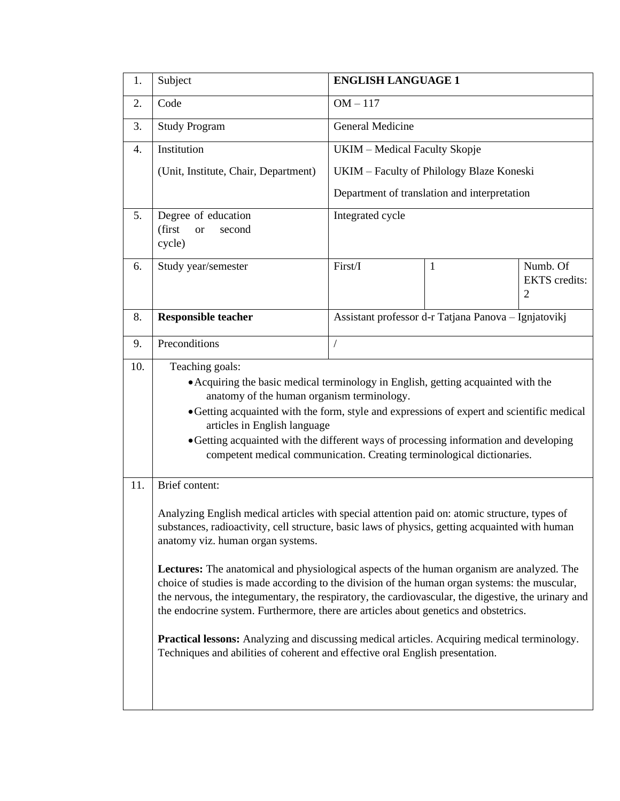| 1.               | Subject                                                                                                                                                                                                                                                                                                                                                                                                                          | <b>ENGLISH LANGUAGE 1</b>                            |                                              |                                                    |  |  |  |
|------------------|----------------------------------------------------------------------------------------------------------------------------------------------------------------------------------------------------------------------------------------------------------------------------------------------------------------------------------------------------------------------------------------------------------------------------------|------------------------------------------------------|----------------------------------------------|----------------------------------------------------|--|--|--|
| 2.               | Code                                                                                                                                                                                                                                                                                                                                                                                                                             | $OM-117$                                             |                                              |                                                    |  |  |  |
| 3.               | <b>Study Program</b>                                                                                                                                                                                                                                                                                                                                                                                                             | General Medicine                                     |                                              |                                                    |  |  |  |
| $\overline{4}$ . | Institution                                                                                                                                                                                                                                                                                                                                                                                                                      | UKIM - Medical Faculty Skopje                        |                                              |                                                    |  |  |  |
|                  | (Unit, Institute, Chair, Department)                                                                                                                                                                                                                                                                                                                                                                                             |                                                      | UKIM - Faculty of Philology Blaze Koneski    |                                                    |  |  |  |
|                  |                                                                                                                                                                                                                                                                                                                                                                                                                                  |                                                      | Department of translation and interpretation |                                                    |  |  |  |
| 5.               | Degree of education<br>(first<br>second<br><b>or</b><br>cycle)                                                                                                                                                                                                                                                                                                                                                                   | Integrated cycle                                     |                                              |                                                    |  |  |  |
| 6.               | Study year/semester                                                                                                                                                                                                                                                                                                                                                                                                              | First/I                                              | 1                                            | Numb. Of<br><b>EKTS</b> credits:<br>$\overline{2}$ |  |  |  |
| 8.               | <b>Responsible teacher</b>                                                                                                                                                                                                                                                                                                                                                                                                       | Assistant professor d-r Tatjana Panova - Ignjatovikj |                                              |                                                    |  |  |  |
| 9.               | Preconditions                                                                                                                                                                                                                                                                                                                                                                                                                    | $\sqrt{2}$                                           |                                              |                                                    |  |  |  |
|                  | • Acquiring the basic medical terminology in English, getting acquainted with the<br>anatomy of the human organism terminology.<br>• Getting acquainted with the form, style and expressions of expert and scientific medical<br>articles in English language<br>• Getting acquainted with the different ways of processing information and developing<br>competent medical communication. Creating terminological dictionaries. |                                                      |                                              |                                                    |  |  |  |
| 11.              | Brief content:<br>Analyzing English medical articles with special attention paid on: atomic structure, types of                                                                                                                                                                                                                                                                                                                  |                                                      |                                              |                                                    |  |  |  |
|                  | substances, radioactivity, cell structure, basic laws of physics, getting acquainted with human<br>anatomy viz. human organ systems.                                                                                                                                                                                                                                                                                             |                                                      |                                              |                                                    |  |  |  |
|                  | Lectures: The anatomical and physiological aspects of the human organism are analyzed. The<br>choice of studies is made according to the division of the human organ systems: the muscular,<br>the nervous, the integumentary, the respiratory, the cardiovascular, the digestive, the urinary and<br>the endocrine system. Furthermore, there are articles about genetics and obstetrics.                                       |                                                      |                                              |                                                    |  |  |  |
|                  | <b>Practical lessons:</b> Analyzing and discussing medical articles. Acquiring medical terminology.<br>Techniques and abilities of coherent and effective oral English presentation.                                                                                                                                                                                                                                             |                                                      |                                              |                                                    |  |  |  |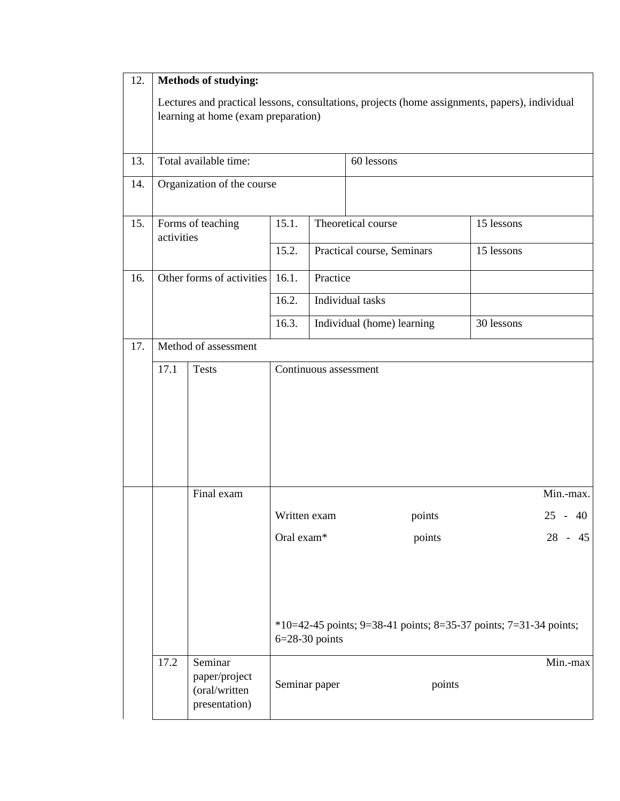| 12.                         | Methods of studying:                                                                                                                  |                                                            |                           |                       |                                                                             |            |              |
|-----------------------------|---------------------------------------------------------------------------------------------------------------------------------------|------------------------------------------------------------|---------------------------|-----------------------|-----------------------------------------------------------------------------|------------|--------------|
|                             | Lectures and practical lessons, consultations, projects (home assignments, papers), individual<br>learning at home (exam preparation) |                                                            |                           |                       |                                                                             |            |              |
| 13.                         | Total available time:                                                                                                                 |                                                            |                           |                       | 60 lessons                                                                  |            |              |
| 14.                         | Organization of the course                                                                                                            |                                                            |                           |                       |                                                                             |            |              |
| 15.                         | Forms of teaching<br>activities                                                                                                       |                                                            | 15.1.                     |                       | Theoretical course                                                          | 15 lessons |              |
|                             |                                                                                                                                       |                                                            | 15.2.                     |                       | Practical course, Seminars<br>15 lessons                                    |            |              |
| 16.                         | Other forms of activities                                                                                                             |                                                            | 16.1.                     | Practice              |                                                                             |            |              |
|                             |                                                                                                                                       |                                                            | 16.2.<br>Individual tasks |                       |                                                                             |            |              |
|                             |                                                                                                                                       |                                                            | 16.3.                     |                       | Individual (home) learning                                                  |            |              |
| 17.<br>Method of assessment |                                                                                                                                       |                                                            |                           |                       |                                                                             |            |              |
|                             | 17.1                                                                                                                                  | <b>Tests</b>                                               |                           | Continuous assessment |                                                                             |            |              |
|                             |                                                                                                                                       | Final exam                                                 |                           |                       |                                                                             |            | Min.-max.    |
|                             |                                                                                                                                       |                                                            | Written exam              |                       | points                                                                      |            | $25 -$<br>40 |
|                             |                                                                                                                                       |                                                            | Oral exam*                | $6=28-30$ points      | points<br>*10=42-45 points; 9=38-41 points; 8=35-37 points; 7=31-34 points; |            | $-45$<br>28  |
|                             | 17.2                                                                                                                                  | Seminar<br>paper/project<br>(oral/written<br>presentation) |                           | Seminar paper         | points                                                                      |            | Min.-max     |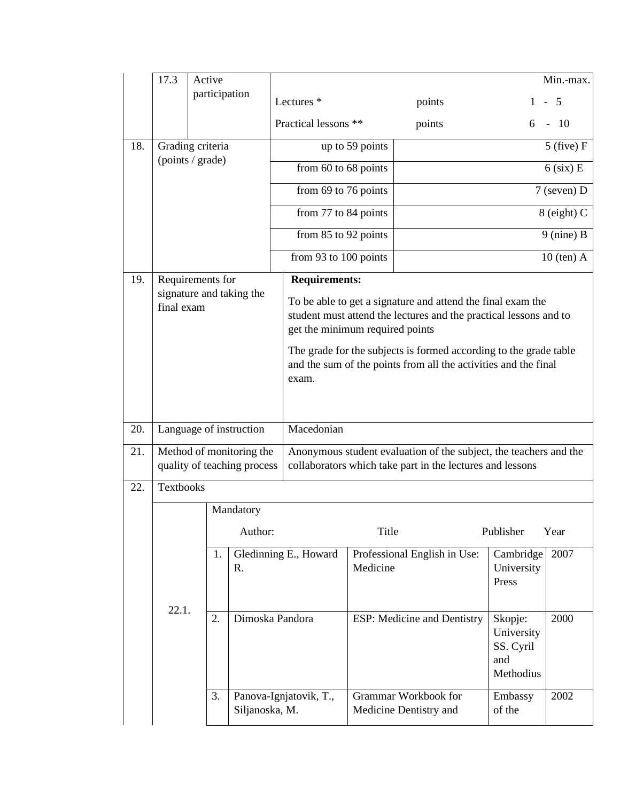|     | 17.3                                                    | Active           |                 |                                                                                                                                                                     |          |                                                |                                                        | Min.-max.      |  |
|-----|---------------------------------------------------------|------------------|-----------------|---------------------------------------------------------------------------------------------------------------------------------------------------------------------|----------|------------------------------------------------|--------------------------------------------------------|----------------|--|
|     |                                                         | participation    |                 | Lectures <sup>*</sup>                                                                                                                                               |          | points                                         |                                                        | $1 - 5$        |  |
|     |                                                         |                  |                 | Practical lessons **                                                                                                                                                |          | points                                         | 6                                                      | $-10$          |  |
| 18. | Grading criteria                                        |                  |                 | up to 59 points                                                                                                                                                     |          |                                                |                                                        | $5$ (five) $F$ |  |
|     |                                                         | (points / grade) |                 | from $60$ to $68$ points                                                                                                                                            |          | $6$ (six) E                                    |                                                        |                |  |
|     |                                                         |                  |                 | from 69 to 76 points                                                                                                                                                |          |                                                | 7 (seven) D                                            |                |  |
|     |                                                         |                  |                 | from 77 to 84 points                                                                                                                                                |          | $8$ (eight) C                                  |                                                        |                |  |
|     |                                                         |                  |                 | from 85 to 92 points                                                                                                                                                |          | $9$ (nine) B                                   |                                                        |                |  |
|     |                                                         |                  |                 | from 93 to 100 points                                                                                                                                               |          | $10$ (ten) $A$                                 |                                                        |                |  |
| 19. | Requirements for                                        |                  |                 | <b>Requirements:</b>                                                                                                                                                |          |                                                |                                                        |                |  |
|     | signature and taking the<br>final exam                  |                  |                 | To be able to get a signature and attend the final exam the<br>student must attend the lectures and the practical lessons and to<br>get the minimum required points |          |                                                |                                                        |                |  |
|     |                                                         |                  |                 | The grade for the subjects is formed according to the grade table<br>and the sum of the points from all the activities and the final<br>exam.                       |          |                                                |                                                        |                |  |
|     |                                                         |                  |                 |                                                                                                                                                                     |          |                                                |                                                        |                |  |
| 20. | Language of instruction                                 |                  |                 | Macedonian                                                                                                                                                          |          |                                                |                                                        |                |  |
| 21. | Method of monitoring the<br>quality of teaching process |                  |                 | Anonymous student evaluation of the subject, the teachers and the<br>collaborators which take part in the lectures and lessons                                      |          |                                                |                                                        |                |  |
| 22. | Textbooks                                               |                  |                 |                                                                                                                                                                     |          |                                                |                                                        |                |  |
|     |                                                         |                  | Mandatory       |                                                                                                                                                                     |          |                                                |                                                        |                |  |
|     |                                                         |                  | Author:         |                                                                                                                                                                     | Title    |                                                | Publisher                                              | Year           |  |
|     | 22.1.                                                   | 1.               | R.              | Gledinning E., Howard                                                                                                                                               | Medicine | Professional English in Use:                   | Cambridge<br>University<br>Press                       | 2007           |  |
|     |                                                         | 2.               | Dimoska Pandora |                                                                                                                                                                     |          | ESP: Medicine and Dentistry                    | Skopje:<br>University<br>SS. Cyril<br>and<br>Methodius | 2000           |  |
|     |                                                         | 3.               | Siljanoska, M.  | Panova-Ignjatovik, T.,                                                                                                                                              |          | Grammar Workbook for<br>Medicine Dentistry and | Embassy<br>of the                                      | 2002           |  |